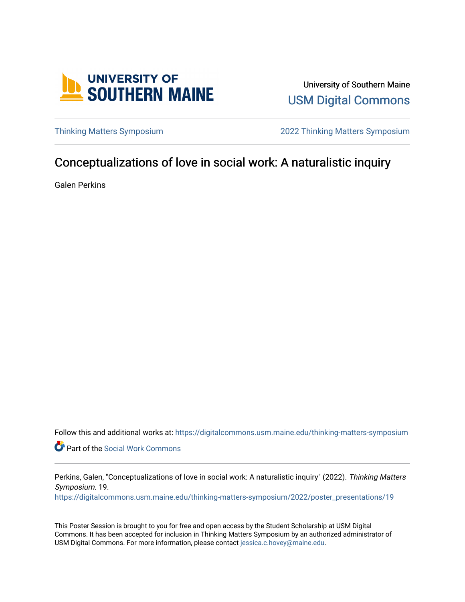

University of Southern Maine [USM Digital Commons](https://digitalcommons.usm.maine.edu/) 

[Thinking Matters Symposium](https://digitalcommons.usm.maine.edu/thinking-matters-symposium) [2022 Thinking Matters Symposium](https://digitalcommons.usm.maine.edu/thinking-matters-symposium/2022) 

#### Conceptualizations of love in social work: A naturalistic inquiry

Galen Perkins

Follow this and additional works at: [https://digitalcommons.usm.maine.edu/thinking-matters-symposium](https://digitalcommons.usm.maine.edu/thinking-matters-symposium?utm_source=digitalcommons.usm.maine.edu%2Fthinking-matters-symposium%2F2022%2Fposter_presentations%2F19&utm_medium=PDF&utm_campaign=PDFCoverPages) 

Part of the [Social Work Commons](http://network.bepress.com/hgg/discipline/713?utm_source=digitalcommons.usm.maine.edu%2Fthinking-matters-symposium%2F2022%2Fposter_presentations%2F19&utm_medium=PDF&utm_campaign=PDFCoverPages)

Perkins, Galen, "Conceptualizations of love in social work: A naturalistic inquiry" (2022). Thinking Matters Symposium. 19.

[https://digitalcommons.usm.maine.edu/thinking-matters-symposium/2022/poster\\_presentations/19](https://digitalcommons.usm.maine.edu/thinking-matters-symposium/2022/poster_presentations/19?utm_source=digitalcommons.usm.maine.edu%2Fthinking-matters-symposium%2F2022%2Fposter_presentations%2F19&utm_medium=PDF&utm_campaign=PDFCoverPages) 

This Poster Session is brought to you for free and open access by the Student Scholarship at USM Digital Commons. It has been accepted for inclusion in Thinking Matters Symposium by an authorized administrator of USM Digital Commons. For more information, please contact [jessica.c.hovey@maine.edu](mailto:ian.fowler@maine.edu).